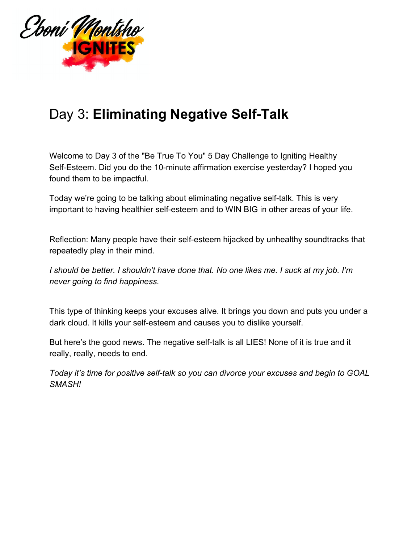

## Day 3: **Eliminating Negative Self-Talk**

Welcome to Day 3 of the "Be True To You" 5 Day Challenge to Igniting Healthy Self-Esteem. Did you do the 10-minute affirmation exercise yesterday? I hoped you found them to be impactful.

Today we're going to be talking about eliminating negative self-talk. This is very important to having healthier self-esteem and to WIN BIG in other areas of your life.

Reflection: Many people have their self-esteem hijacked by unhealthy soundtracks that repeatedly play in their mind.

*I should be better. I shouldn't have done that. No one likes me. I suck at my job. I'm never going to find happiness.*

This type of thinking keeps your excuses alive. It brings you down and puts you under a dark cloud. It kills your self-esteem and causes you to dislike yourself.

But here's the good news. The negative self-talk is all LIES! None of it is true and it really, really, needs to end.

*Today it's time for positive self-talk so you can divorce your excuses and begin to GOAL SMASH!*